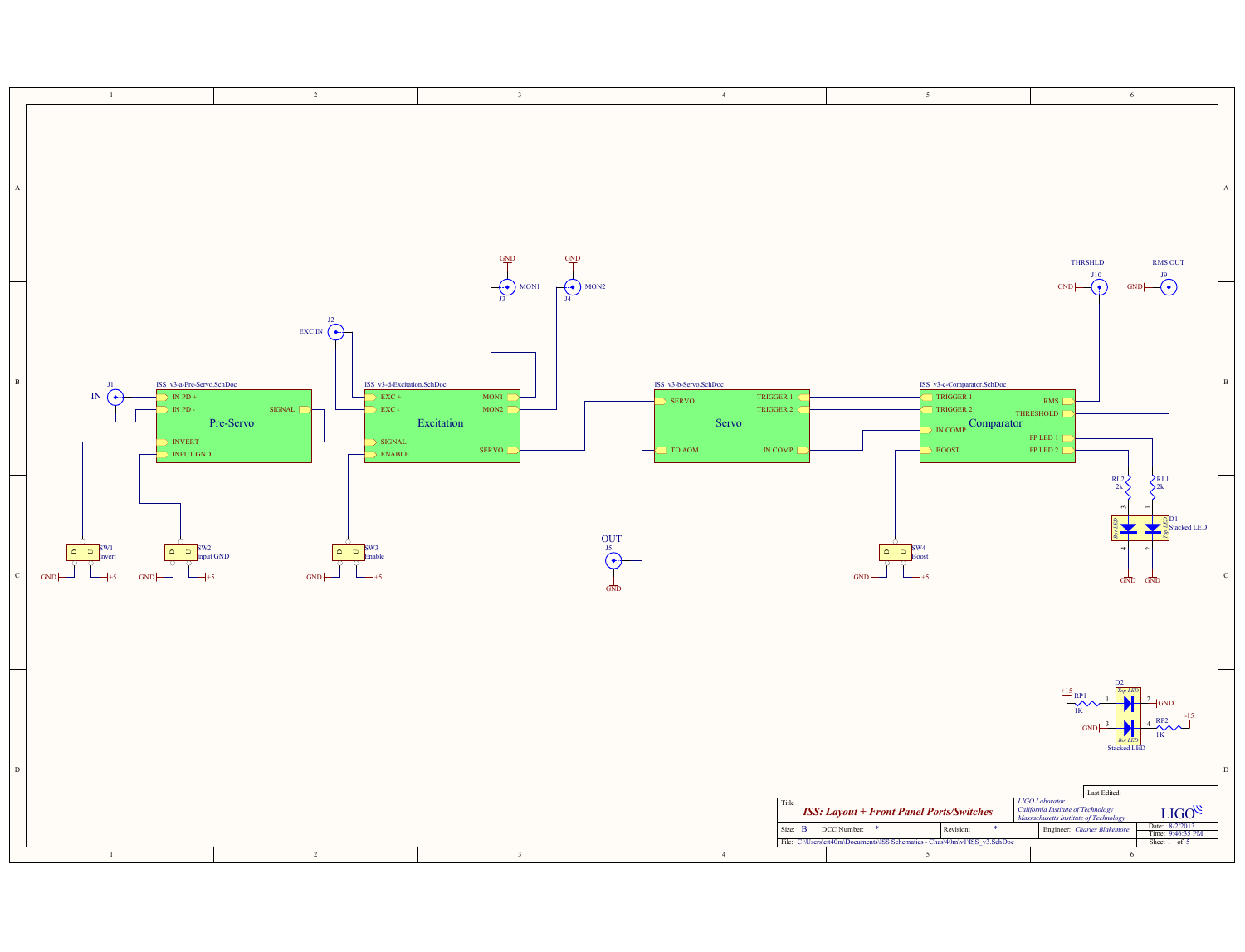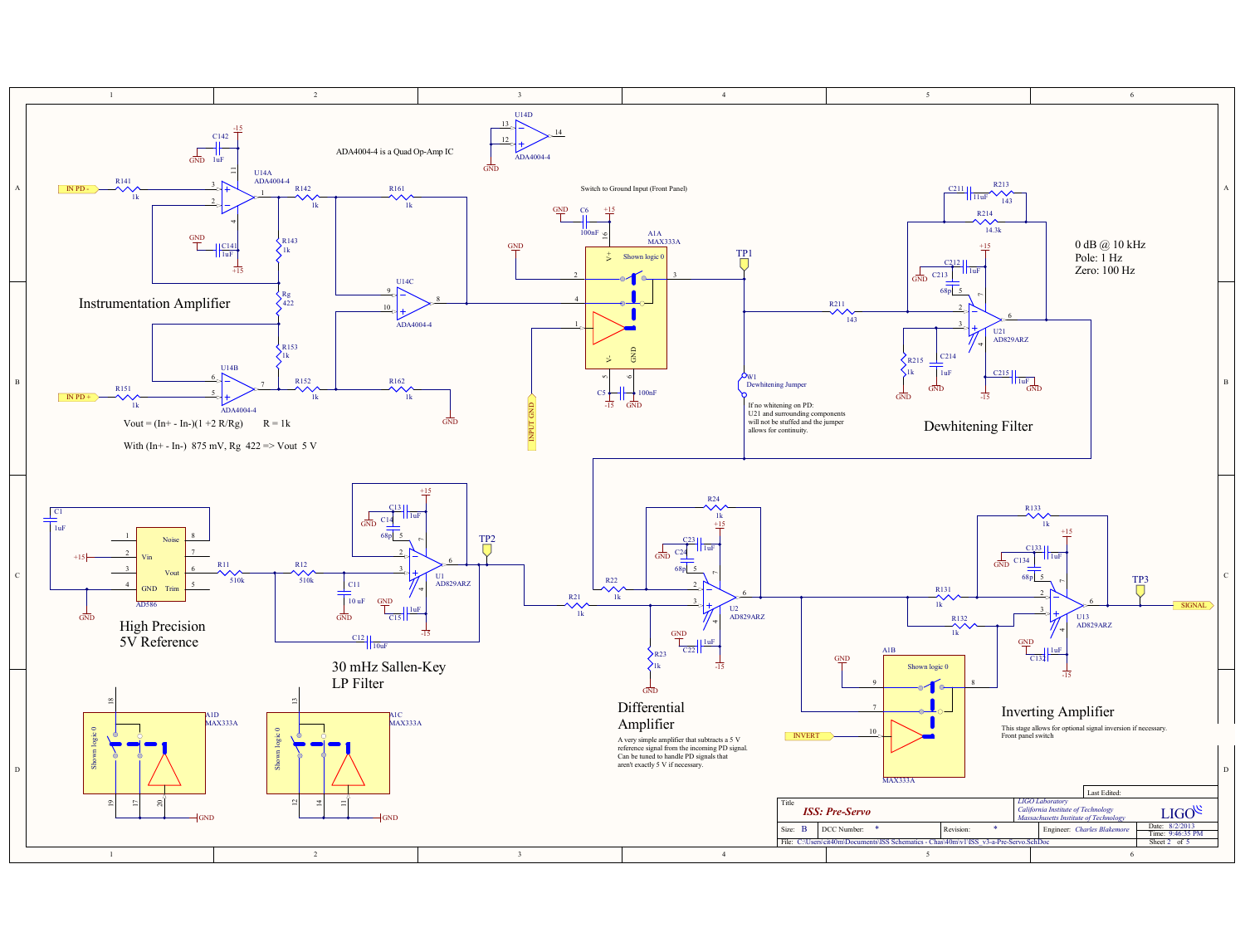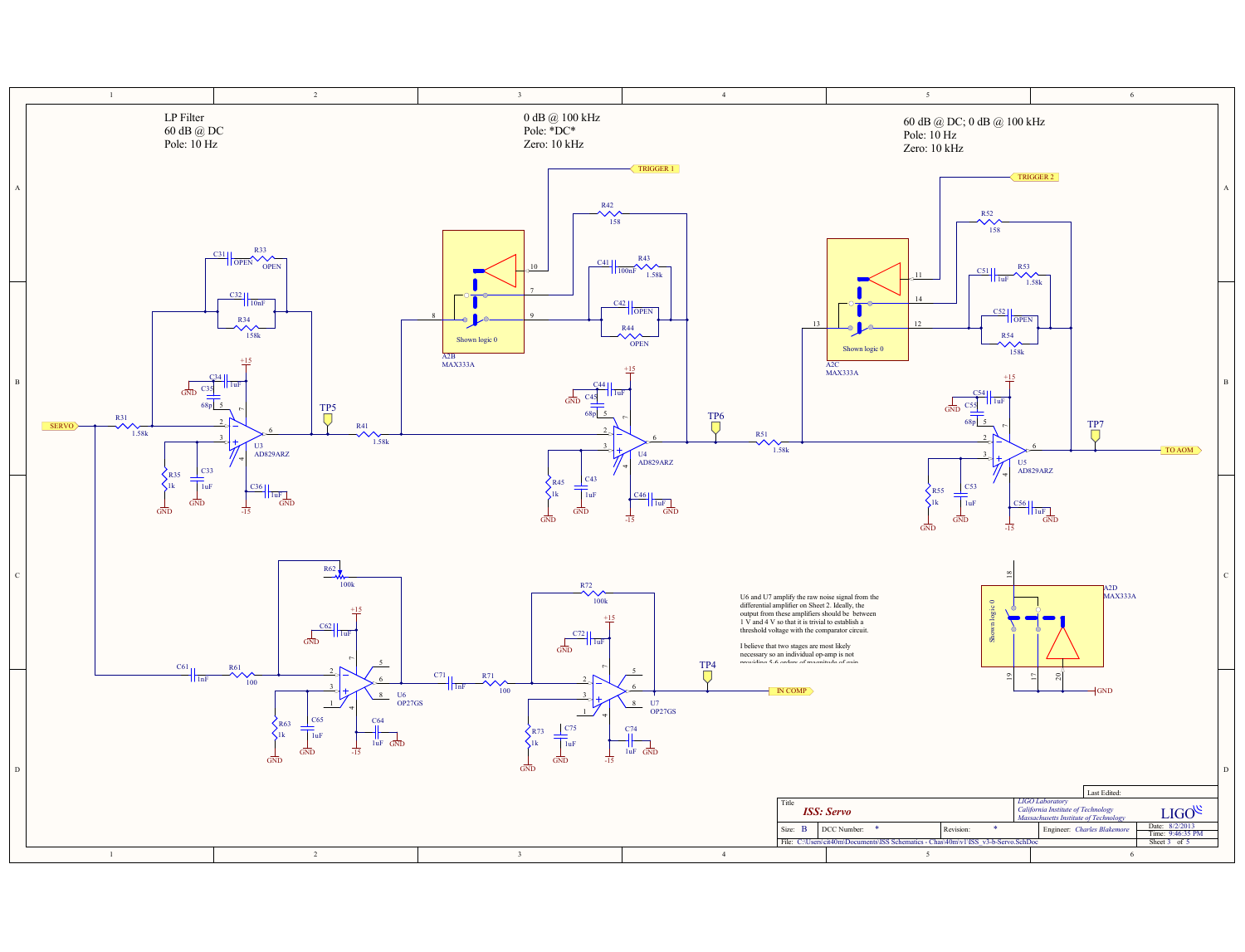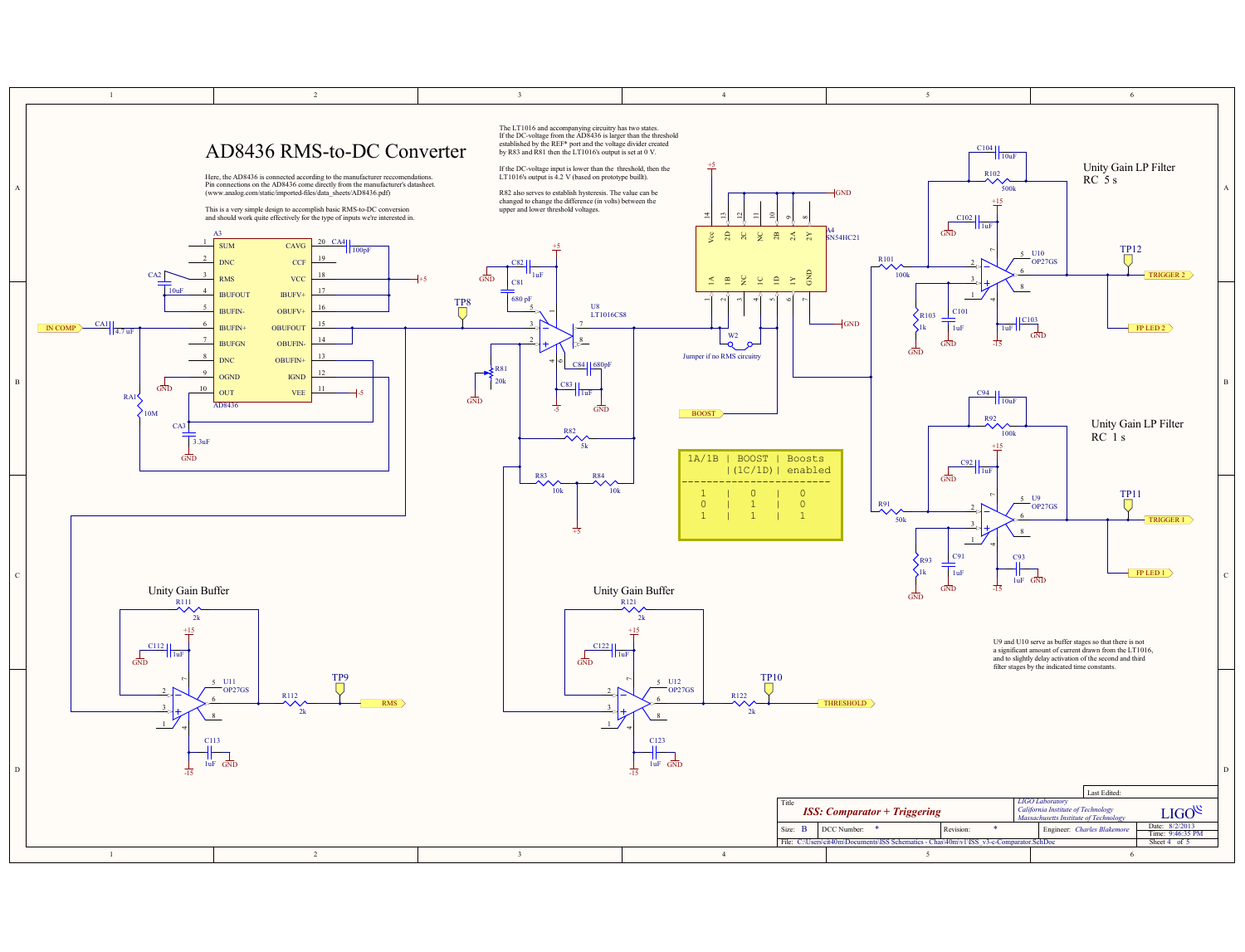